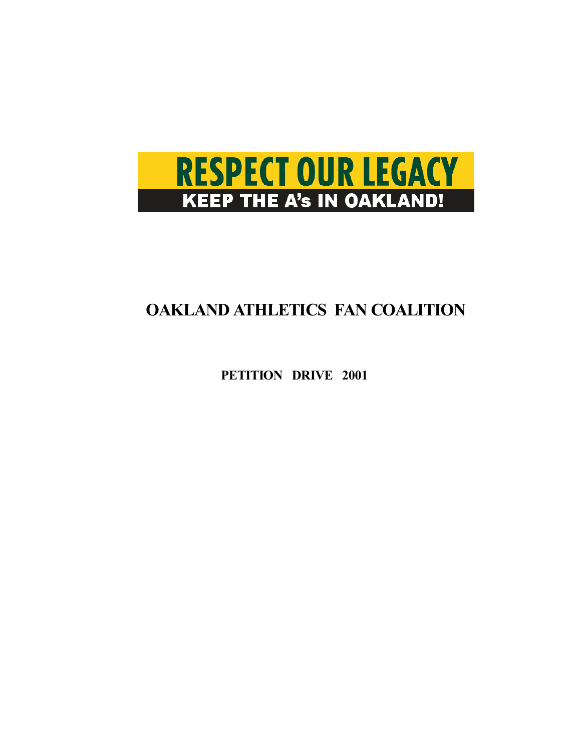

# **OAKLAND ATHLETICS FAN COALITION**

**PETITION DRIVE 2001**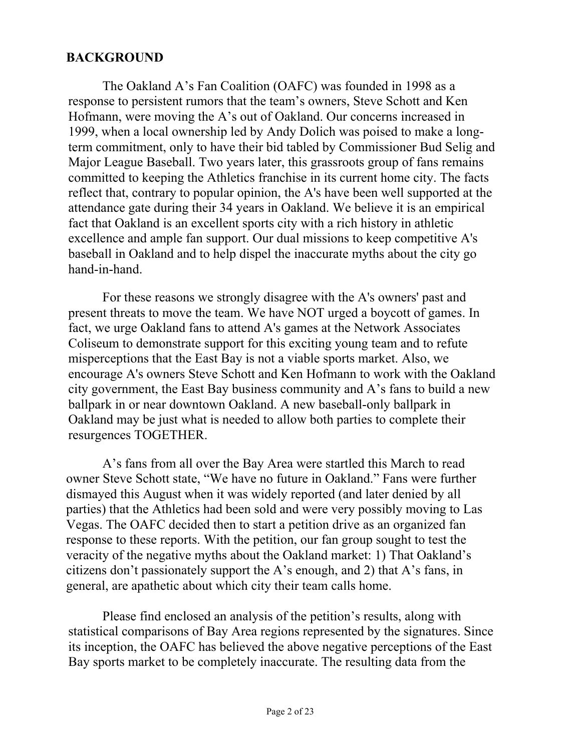#### **BACKGROUND**

The Oakland A's Fan Coalition (OAFC) was founded in 1998 as a response to persistent rumors that the team's owners, Steve Schott and Ken Hofmann, were moving the A's out of Oakland. Our concerns increased in 1999, when a local ownership led by Andy Dolich was poised to make a longterm commitment, only to have their bid tabled by Commissioner Bud Selig and Major League Baseball. Two years later, this grassroots group of fans remains committed to keeping the Athletics franchise in its current home city. The facts reflect that, contrary to popular opinion, the A's have been well supported at the attendance gate during their 34 years in Oakland. We believe it is an empirical fact that Oakland is an excellent sports city with a rich history in athletic excellence and ample fan support. Our dual missions to keep competitive A's baseball in Oakland and to help dispel the inaccurate myths about the city go hand-in-hand.

For these reasons we strongly disagree with the A's owners' past and present threats to move the team. We have NOT urged a boycott of games. In fact, we urge Oakland fans to attend A's games at the Network Associates Coliseum to demonstrate support for this exciting young team and to refute misperceptions that the East Bay is not a viable sports market. Also, we encourage A's owners Steve Schott and Ken Hofmann to work with the Oakland city government, the East Bay business community and A's fans to build a new ballpark in or near downtown Oakland. A new baseball-only ballpark in Oakland may be just what is needed to allow both parties to complete their resurgences TOGETHER.

A's fans from all over the Bay Area were startled this March to read owner Steve Schott state, "We have no future in Oakland." Fans were further dismayed this August when it was widely reported (and later denied by all parties) that the Athletics had been sold and were very possibly moving to Las Vegas. The OAFC decided then to start a petition drive as an organized fan response to these reports. With the petition, our fan group sought to test the veracity of the negative myths about the Oakland market: 1) That Oakland's citizens don't passionately support the A's enough, and 2) that A's fans, in general, are apathetic about which city their team calls home.

Please find enclosed an analysis of the petition's results, along with statistical comparisons of Bay Area regions represented by the signatures. Since its inception, the OAFC has believed the above negative perceptions of the East Bay sports market to be completely inaccurate. The resulting data from the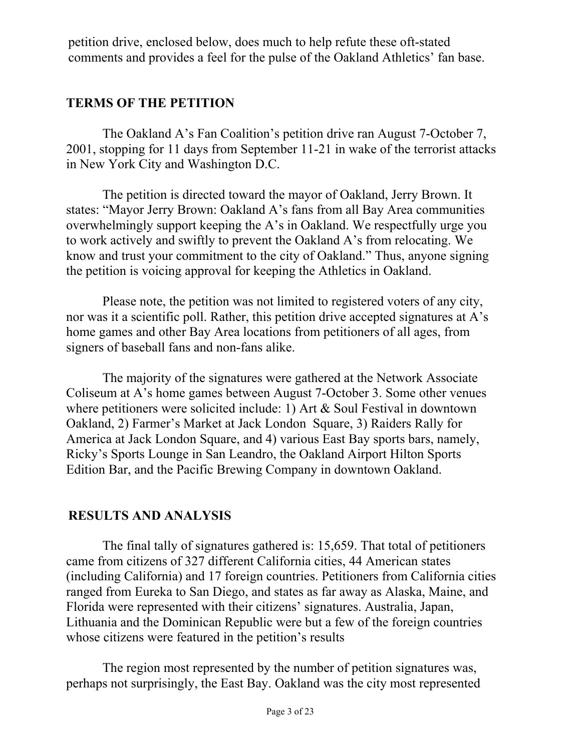petition drive, enclosed below, does much to help refute these oft-stated comments and provides a feel for the pulse of the Oakland Athletics' fan base.

### **TERMS OF THE PETITION**

The Oakland A's Fan Coalition's petition drive ran August 7-October 7, 2001, stopping for 11 days from September 11-21 in wake of the terrorist attacks in New York City and Washington D.C.

 The petition is directed toward the mayor of Oakland, Jerry Brown. It states: "Mayor Jerry Brown: Oakland A's fans from all Bay Area communities overwhelmingly support keeping the A's in Oakland. We respectfully urge you to work actively and swiftly to prevent the Oakland A's from relocating. We know and trust your commitment to the city of Oakland." Thus, anyone signing the petition is voicing approval for keeping the Athletics in Oakland.

 Please note, the petition was not limited to registered voters of any city, nor was it a scientific poll. Rather, this petition drive accepted signatures at  $A$ 's home games and other Bay Area locations from petitioners of all ages, from signers of baseball fans and non-fans alike.

 The majority of the signatures were gathered at the Network Associate Coliseum at A's home games between August 7-October 3. Some other venues where petitioners were solicited include: 1) Art & Soul Festival in downtown Oakland, 2) Farmer's Market at Jack London Square, 3) Raiders Rally for America at Jack London Square, and 4) various East Bay sports bars, namely, Ricky's Sports Lounge in San Leandro, the Oakland Airport Hilton Sports Edition Bar, and the Pacific Brewing Company in downtown Oakland.

## **RESULTS AND ANALYSIS**

 The final tally of signatures gathered is: 15,659. That total of petitioners came from citizens of 327 different California cities, 44 American states (including California) and 17 foreign countries. Petitioners from California cities ranged from Eureka to San Diego, and states as far away as Alaska, Maine, and Florida were represented with their citizens' signatures. Australia, Japan, Lithuania and the Dominican Republic were but a few of the foreign countries whose citizens were featured in the petition's results

 The region most represented by the number of petition signatures was, perhaps not surprisingly, the East Bay. Oakland was the city most represented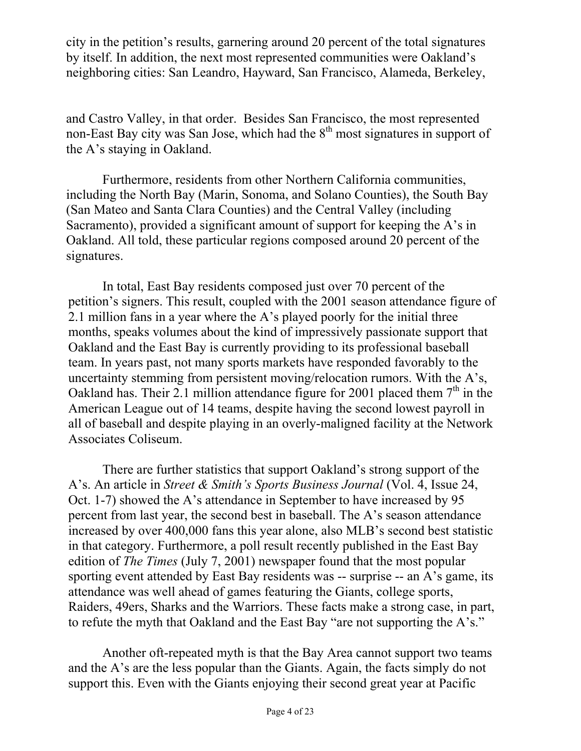city in the petition's results, garnering around 20 percent of the total signatures by itself. In addition, the next most represented communities were Oakland's neighboring cities: San Leandro, Hayward, San Francisco, Alameda, Berkeley,

and Castro Valley, in that order. Besides San Francisco, the most represented non-East Bay city was San Jose, which had the  $8<sup>th</sup>$  most signatures in support of the A's staying in Oakland.

 Furthermore, residents from other Northern California communities, including the North Bay (Marin, Sonoma, and Solano Counties), the South Bay (San Mateo and Santa Clara Counties) and the Central Valley (including Sacramento), provided a significant amount of support for keeping the A's in Oakland. All told, these particular regions composed around 20 percent of the signatures.

In total, East Bay residents composed just over 70 percent of the petition's signers. This result, coupled with the 2001 season attendance figure of 2.1 million fans in a year where the A's played poorly for the initial three months, speaks volumes about the kind of impressively passionate support that Oakland and the East Bay is currently providing to its professional baseball team. In years past, not many sports markets have responded favorably to the uncertainty stemming from persistent moving/relocation rumors. With the  $A$ 's, Oakland has. Their 2.1 million attendance figure for 2001 placed them  $7<sup>th</sup>$  in the American League out of 14 teams, despite having the second lowest payroll in all of baseball and despite playing in an overly-maligned facility at the Network Associates Coliseum.

There are further statistics that support Oakland's strong support of the A's. An article in *Street & Smith's Sports Business Journal* (Vol. 4, Issue 24, Oct. 1-7) showed the A's attendance in September to have increased by 95 percent from last year, the second best in baseball. The A's season attendance increased by over 400,000 fans this year alone, also MLB's second best statistic in that category. Furthermore, a poll result recently published in the East Bay edition of *The Times* (July 7, 2001) newspaper found that the most popular sporting event attended by East Bay residents was -- surprise -- an A's game, its attendance was well ahead of games featuring the Giants, college sports, Raiders, 49ers, Sharks and the Warriors. These facts make a strong case, in part, to refute the myth that Oakland and the East Bay "are not supporting the A's."

Another oft-repeated myth is that the Bay Area cannot support two teams and the A's are the less popular than the Giants. Again, the facts simply do not support this. Even with the Giants enjoying their second great year at Pacific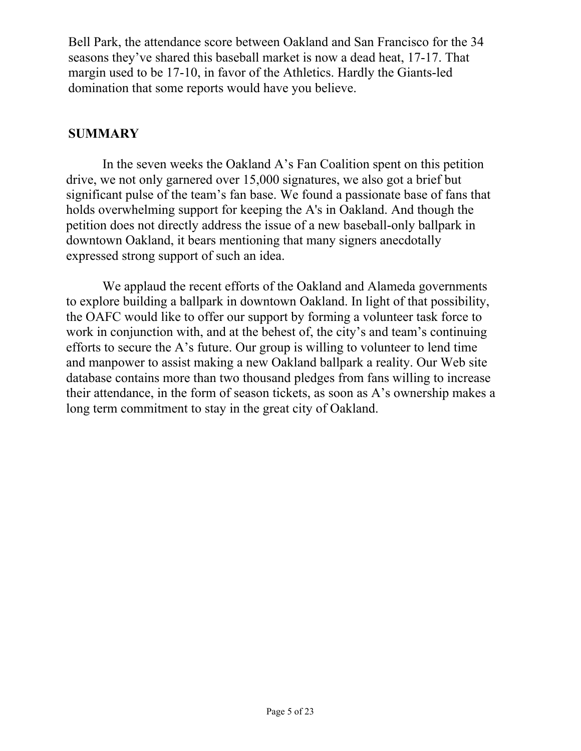Bell Park, the attendance score between Oakland and San Francisco for the 34 seasons they've shared this baseball market is now a dead heat, 17-17. That margin used to be 17-10, in favor of the Athletics. Hardly the Giants-led domination that some reports would have you believe.

#### **SUMMARY**

In the seven weeks the Oakland A's Fan Coalition spent on this petition drive, we not only garnered over 15,000 signatures, we also got a brief but significant pulse of the team's fan base. We found a passionate base of fans that holds overwhelming support for keeping the A's in Oakland. And though the petition does not directly address the issue of a new baseball-only ballpark in downtown Oakland, it bears mentioning that many signers anecdotally expressed strong support of such an idea.

 We applaud the recent efforts of the Oakland and Alameda governments to explore building a ballpark in downtown Oakland. In light of that possibility, the OAFC would like to offer our support by forming a volunteer task force to work in conjunction with, and at the behest of, the city's and team's continuing efforts to secure the A's future. Our group is willing to volunteer to lend time and manpower to assist making a new Oakland ballpark a reality. Our Web site database contains more than two thousand pledges from fans willing to increase their attendance, in the form of season tickets, as soon as A's ownership makes a long term commitment to stay in the great city of Oakland.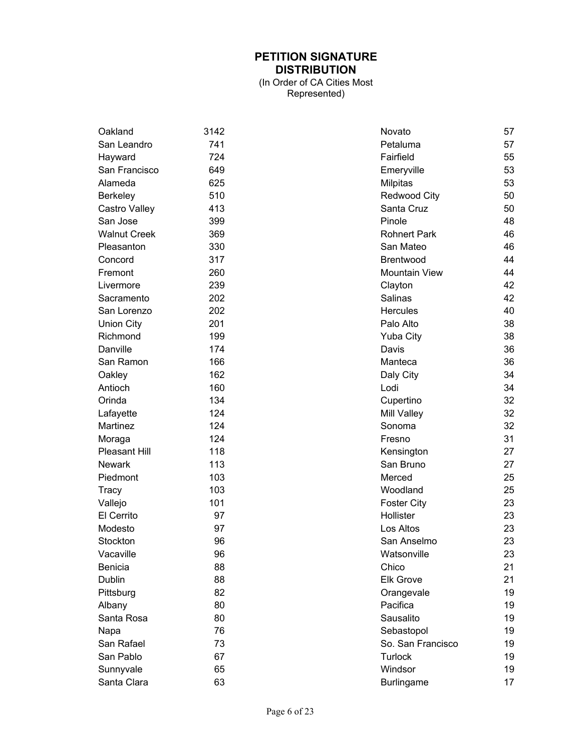#### **PETITION SIGNATURE DISTRIBUTION**

(In Order of CA Cities Most Represented)

| Oakland             | 3142 | Novato               | 57 |
|---------------------|------|----------------------|----|
| San Leandro         | 741  | Petaluma             | 57 |
| Hayward             | 724  | Fairfield            | 55 |
| San Francisco       | 649  | Emeryville           | 53 |
| Alameda             | 625  | <b>Milpitas</b>      | 53 |
| Berkeley            | 510  | Redwood City         | 50 |
| Castro Valley       | 413  | Santa Cruz           | 50 |
| San Jose            | 399  | Pinole               | 48 |
| <b>Walnut Creek</b> | 369  | <b>Rohnert Park</b>  | 46 |
| Pleasanton          | 330  | San Mateo            | 46 |
| Concord             | 317  | Brentwood            | 44 |
| Fremont             | 260  | <b>Mountain View</b> | 44 |
| Livermore           | 239  | Clayton              | 42 |
| Sacramento          | 202  | Salinas              | 42 |
| San Lorenzo         | 202  | <b>Hercules</b>      | 40 |
| <b>Union City</b>   | 201  | Palo Alto            | 38 |
| Richmond            | 199  | <b>Yuba City</b>     | 38 |
| Danville            | 174  | Davis                | 36 |
| San Ramon           | 166  | Manteca              | 36 |
| Oakley              | 162  | Daly City            | 34 |
| Antioch             | 160  | Lodi                 | 34 |
| Orinda              | 134  | Cupertino            | 32 |
| Lafayette           | 124  | Mill Valley          | 32 |
| Martinez            | 124  | Sonoma               | 32 |
| Moraga              | 124  | Fresno               | 31 |
| Pleasant Hill       | 118  | Kensington           | 27 |
| <b>Newark</b>       | 113  | San Bruno            | 27 |
| Piedmont            | 103  | Merced               | 25 |
| Tracy               | 103  | Woodland             | 25 |
| Vallejo             | 101  | <b>Foster City</b>   | 23 |
| El Cerrito          | 97   | Hollister            | 23 |
| Modesto             | 97   | Los Altos            | 23 |
| Stockton            | 96   | San Anselmo          | 23 |
| Vacaville           | 96   | Watsonville          | 23 |
| Benicia             | 88   | Chico                | 21 |
| Dublin              | 88   | <b>Elk Grove</b>     | 21 |
| Pittsburg           | 82   | Orangevale           | 19 |
| Albany              | 80   | Pacifica             | 19 |
| Santa Rosa          | 80   | Sausalito            | 19 |
| Napa                | 76   | Sebastopol           | 19 |
| San Rafael          | 73   | So. San Francisco    | 19 |
| San Pablo           | 67   | <b>Turlock</b>       | 19 |
| Sunnyvale           | 65   | Windsor              | 19 |
| Santa Clara         | 63   | <b>Burlingame</b>    | 17 |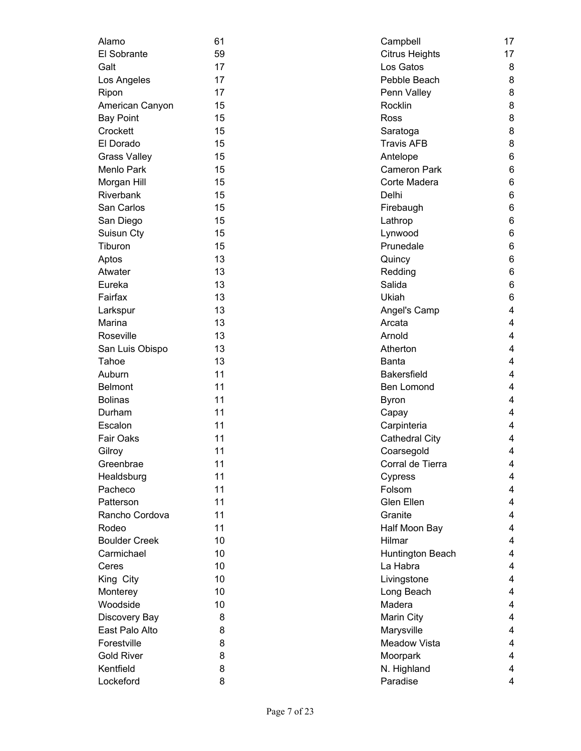| Alamo                | 61 | Campbell              | 17    |
|----------------------|----|-----------------------|-------|
| El Sobrante          | 59 | <b>Citrus Heights</b> | 17    |
| Galt                 | 17 | Los Gatos             | 8     |
| Los Angeles          | 17 | Pebble Beach          | 8     |
| Ripon                | 17 | Penn Valley           | 8     |
| American Canyon      | 15 | Rocklin               | 8     |
| <b>Bay Point</b>     | 15 | Ross                  | 8     |
| Crockett             | 15 | Saratoga              | 8     |
| El Dorado            | 15 | <b>Travis AFB</b>     | 8     |
| <b>Grass Valley</b>  | 15 | Antelope              | 6     |
| <b>Menlo Park</b>    | 15 | Cameron Park          | 6     |
| Morgan Hill          | 15 | Corte Madera          | 6     |
| Riverbank            | 15 | Delhi                 | $\,6$ |
| San Carlos           | 15 | Firebaugh             | 6     |
| San Diego            | 15 | Lathrop               | 6     |
| Suisun Cty           | 15 | Lynwood               | $\,6$ |
| Tiburon              | 15 | Prunedale             | $\,6$ |
| Aptos                | 13 | Quincy                | 6     |
| Atwater              | 13 | Redding               | 6     |
| Eureka               | 13 | Salida                | $\,6$ |
| Fairfax              | 13 | Ukiah                 | 6     |
| Larkspur             | 13 | Angel's Camp          | 4     |
| Marina               | 13 | Arcata                | 4     |
| Roseville            | 13 | Arnold                | 4     |
| San Luis Obispo      | 13 | Atherton              | 4     |
| Tahoe                | 13 | <b>Banta</b>          | 4     |
| Auburn               | 11 | <b>Bakersfield</b>    | 4     |
| <b>Belmont</b>       | 11 | Ben Lomond            | 4     |
| <b>Bolinas</b>       | 11 | <b>Byron</b>          | 4     |
| Durham               | 11 | Capay                 | 4     |
| Escalon              | 11 | Carpinteria           | 4     |
| Fair Oaks            | 11 | <b>Cathedral City</b> | 4     |
| Gilroy               | 11 | Coarsegold            | 4     |
| Greenbrae            | 11 | Corral de Tierra      | 4     |
| Healdsburg           | 11 | Cypress               | 4     |
| Pacheco              | 11 | Folsom                | 4     |
| Patterson            | 11 | Glen Ellen            | 4     |
| Rancho Cordova       | 11 | Granite               | 4     |
| Rodeo                | 11 | Half Moon Bay         | 4     |
| <b>Boulder Creek</b> | 10 | Hilmar                | 4     |
| Carmichael           | 10 | Huntington Beach      | 4     |
| Ceres                | 10 | La Habra              | 4     |
| King City            | 10 | Livingstone           | 4     |
| Monterey             | 10 | Long Beach            | 4     |
| Woodside             | 10 | Madera                | 4     |
| Discovery Bay        | 8  | Marin City            | 4     |
| East Palo Alto       | 8  | Marysville            | 4     |
| Forestville          | 8  | <b>Meadow Vista</b>   | 4     |
| <b>Gold River</b>    | 8  | Moorpark              | 4     |
| Kentfield            | 8  | N. Highland           | 4     |
| Lockeford            | 8  | Paradise              | 4     |
|                      |    |                       |       |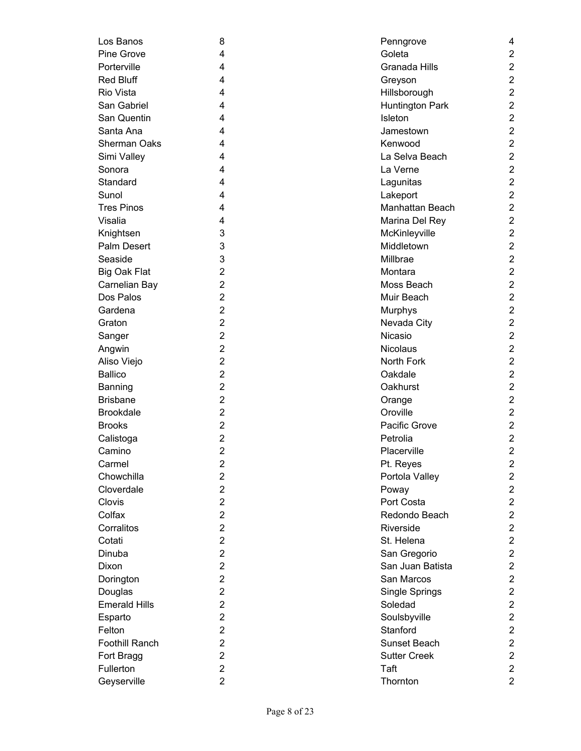| Los Banos             | 8                   | Penngrove              | 4                       |
|-----------------------|---------------------|------------------------|-------------------------|
| Pine Grove            | 4                   | Goleta                 | $\overline{c}$          |
| Porterville           | 4                   | Granada Hills          | $\overline{\mathbf{c}}$ |
| <b>Red Bluff</b>      | 4                   | Greyson                | $\overline{\mathbf{c}}$ |
| Rio Vista             | 4                   | Hillsborough           | $\overline{2}$          |
| San Gabriel           | 4                   | Huntington Park        | $\overline{c}$          |
| San Quentin           | 4                   | Isleton                | $\overline{2}$          |
| Santa Ana             | 4                   | Jamestown              | $\overline{2}$          |
| <b>Sherman Oaks</b>   | 4                   | Kenwood                | $\overline{2}$          |
| Simi Valley           | 4                   | La Selva Beach         | $\overline{2}$          |
| Sonora                | 4                   | La Verne               | $\overline{2}$          |
| Standard              | 4                   | Lagunitas              | $\overline{2}$          |
| Sunol                 | 4                   | Lakeport               | $\overline{2}$          |
| <b>Tres Pinos</b>     | 4                   | Manhattan Beach        | $\overline{2}$          |
| Visalia               | 4                   | Marina Del Rey         | $\overline{2}$          |
| Knightsen             | 3                   | McKinleyville          | $\overline{2}$          |
| Palm Desert           | 3                   | Middletown             | $\overline{2}$          |
| Seaside               | 3                   | Millbrae               | $\overline{2}$          |
| <b>Big Oak Flat</b>   | 2                   | Montara                | $\overline{2}$          |
| Carnelian Bay         | 2                   | Moss Beach             | $\overline{2}$          |
| Dos Palos             | $\overline{2}$      | Muir Beach             | $\overline{2}$          |
| Gardena               | 2                   |                        | $\overline{c}$          |
| Graton                | $\overline{2}$      | Murphys<br>Nevada City | $\overline{2}$          |
|                       |                     | Nicasio                | $\overline{2}$          |
| Sanger                | 2<br>$\overline{2}$ |                        |                         |
| Angwin                |                     | <b>Nicolaus</b>        | $\overline{2}$          |
| Aliso Viejo           | $\overline{2}$      | North Fork             | $\overline{c}$          |
| <b>Ballico</b>        | $\overline{2}$      | Oakdale                | $\overline{\mathbf{c}}$ |
| Banning               | 2                   | Oakhurst               | $\boldsymbol{2}$        |
| <b>Brisbane</b>       | $\overline{2}$      | Orange                 | $\overline{c}$          |
| <b>Brookdale</b>      | $\overline{2}$      | Oroville               | $\overline{2}$          |
| <b>Brooks</b>         | $\overline{2}$      | Pacific Grove          | $\overline{c}$          |
| Calistoga             | 2                   | Petrolia               | $\mathbf 2$             |
| Camino                | $\overline{2}$      | Placerville            | $\overline{2}$          |
| Carmel                | 2                   | Pt. Reyes              | $\overline{\mathbf{c}}$ |
| Chowchilla            | $\overline{2}$      | Portola Valley         | $\overline{c}$          |
| Cloverdale            | $\overline{2}$      | Poway                  | $\overline{c}$          |
| Clovis                | $\overline{2}$      | Port Costa             | $\overline{2}$          |
| Colfax                | $\overline{2}$      | Redondo Beach          | $\overline{2}$          |
| Corralitos            | $\overline{2}$      | Riverside              | $\overline{2}$          |
| Cotati                | $\overline{2}$      | St. Helena             | $\overline{2}$          |
| Dinuba                | $\overline{2}$      | San Gregorio           | $\overline{2}$          |
| Dixon                 | $\overline{2}$      | San Juan Batista       | $\mathbf 2$             |
| Dorington             | $\overline{2}$      | San Marcos             | $\overline{2}$          |
| Douglas               | $\overline{2}$      | Single Springs         | $\overline{c}$          |
| <b>Emerald Hills</b>  | $\overline{2}$      | Soledad                | $\overline{c}$          |
| Esparto               | $\overline{2}$      | Soulsbyville           | $\overline{c}$          |
| Felton                | $\overline{2}$      | Stanford               | $\overline{c}$          |
| <b>Foothill Ranch</b> | 2                   | Sunset Beach           | $\boldsymbol{2}$        |
| Fort Bragg            | $\overline{2}$      | <b>Sutter Creek</b>    | $\mathbf 2$             |
| Fullerton             | $\overline{c}$      | Taft                   | $\overline{2}$          |
| Geyserville           | $\overline{2}$      | Thornton               | $\overline{c}$          |
|                       |                     |                        |                         |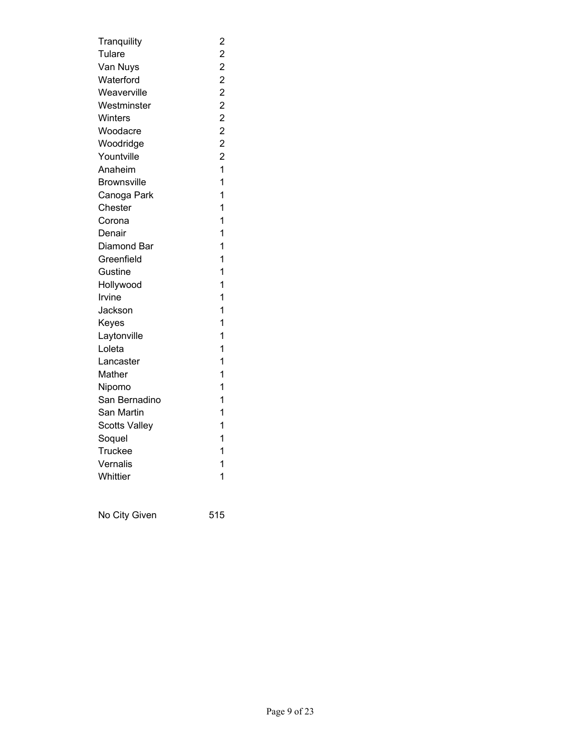| Tranquility          | $\overline{\mathbf{c}}$ |
|----------------------|-------------------------|
| Tulare               |                         |
| Van Nuys             | 2 2 2 2 2 2             |
| Waterford            |                         |
| Weaverville          |                         |
| Westminster          |                         |
| Winters              |                         |
| Woodacre             | $\overline{c}$          |
| Woodridge            | $\overline{c}$          |
| Yountville           | $\overline{\mathbf{c}}$ |
| Anaheim              | $\overline{1}$          |
| <b>Brownsville</b>   | $\overline{1}$          |
| Canoga Park          | 1                       |
| Chester              | 1                       |
| Corona               | 1                       |
| Denair               | 1                       |
| Diamond Bar          | 1                       |
| Greenfield           | 1                       |
| Gustine              | 1                       |
| Hollywood            | 1                       |
| Irvine               | 1                       |
| Jackson              | 1                       |
| Keyes                | 1                       |
| Laytonville          | 1                       |
| Loleta               | 1                       |
| Lancaster            | 1                       |
| Mather               | 1                       |
| Nipomo               | 1                       |
| San Bernadino        | 1                       |
| San Martin           | 1                       |
| <b>Scotts Valley</b> | 1                       |
| Soquel               | 1                       |
| Truckee              | 1                       |
| Vernalis             | 1                       |
| Whittier             | 1                       |
|                      |                         |

No City Given 515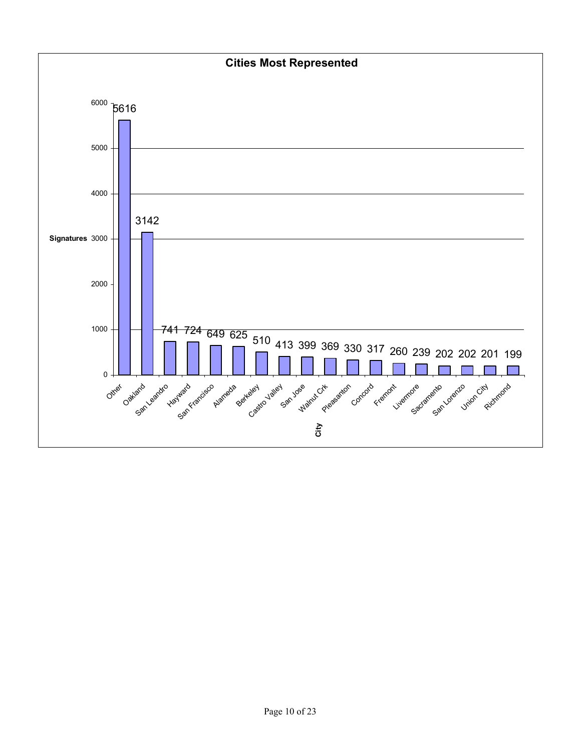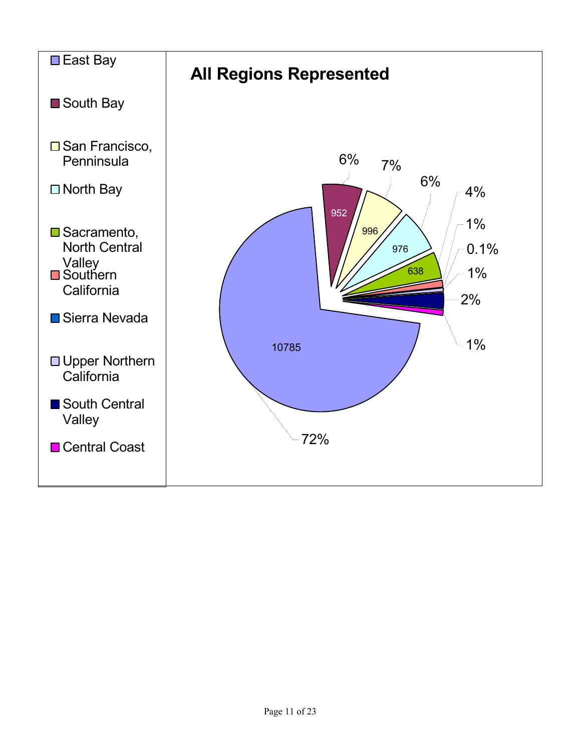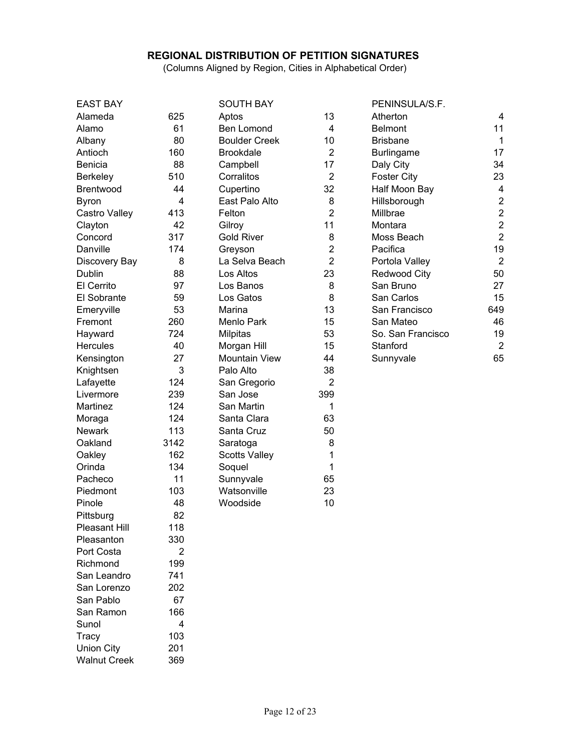#### **REGIONAL DISTRIBUTION OF PETITION SIGNATURES**

(Columns Aligned by Region, Cities in Alphabetical Order)

| <b>EAST BAY</b>      |      | <b>SOUTH BAY</b>     |                | PENINSULA/S.F.      |                |
|----------------------|------|----------------------|----------------|---------------------|----------------|
| Alameda              | 625  | Aptos                | 13             | Atherton            | 4              |
| Alamo                | 61   | Ben Lomond           | 4              | <b>Belmont</b>      | 11             |
| Albany               | 80   | <b>Boulder Creek</b> | 10             | <b>Brisbane</b>     | $\mathbf{1}$   |
| Antioch              | 160  | <b>Brookdale</b>     | $\overline{2}$ | <b>Burlingame</b>   | 17             |
| Benicia              | 88   | Campbell             | 17             | Daly City           | 34             |
| Berkeley             | 510  | Corralitos           | $\overline{2}$ | <b>Foster City</b>  | 23             |
| <b>Brentwood</b>     | 44   | Cupertino            | 32             | Half Moon Bay       | $\overline{4}$ |
| <b>Byron</b>         | 4    | East Palo Alto       | 8              | Hillsborough        | $\overline{2}$ |
| Castro Valley        | 413  | Felton               | $\overline{2}$ | Millbrae            | $\overline{c}$ |
| Clayton              | 42   | Gilroy               | 11             | Montara             | $\overline{c}$ |
| Concord              | 317  | <b>Gold River</b>    | 8              | Moss Beach          | $\overline{2}$ |
| Danville             | 174  | Greyson              | $\overline{2}$ | Pacifica            | 19             |
| Discovery Bay        | 8    | La Selva Beach       | $\overline{2}$ | Portola Valley      | $\overline{2}$ |
| Dublin               | 88   | Los Altos            | 23             | <b>Redwood City</b> | 50             |
| El Cerrito           | 97   | Los Banos            | 8              | San Bruno           | 27             |
| El Sobrante          | 59   | Los Gatos            | 8              | San Carlos          | 15             |
| Emeryville           | 53   | Marina               | 13             | San Francisco       | 649            |
| Fremont              | 260  | Menlo Park           | 15             | San Mateo           | 46             |
| Hayward              | 724  | <b>Milpitas</b>      | 53             | So. San Francisco   | 19             |
| <b>Hercules</b>      | 40   | Morgan Hill          | 15             | Stanford            | $\overline{2}$ |
| Kensington           | 27   | <b>Mountain View</b> | 44             | Sunnyvale           | 65             |
| Knightsen            | 3    | Palo Alto            | 38             |                     |                |
| Lafayette            | 124  | San Gregorio         | $\overline{2}$ |                     |                |
| Livermore            | 239  | San Jose             | 399            |                     |                |
| Martinez             | 124  | San Martin           | 1              |                     |                |
| Moraga               | 124  | Santa Clara          | 63             |                     |                |
| <b>Newark</b>        | 113  | Santa Cruz           | 50             |                     |                |
| Oakland              | 3142 | Saratoga             | 8              |                     |                |
| Oakley               | 162  | <b>Scotts Valley</b> | 1              |                     |                |
| Orinda               | 134  | Soquel               | 1              |                     |                |
| Pacheco              | 11   | Sunnyvale            | 65             |                     |                |
| Piedmont             | 103  | Watsonville          | 23             |                     |                |
| Pinole               | 48   | Woodside             | 10             |                     |                |
| Pittsburg            | 82   |                      |                |                     |                |
| <b>Pleasant Hill</b> | 118  |                      |                |                     |                |
| Pleasanton           | 330  |                      |                |                     |                |
| Port Costa           | 2    |                      |                |                     |                |
| Richmond             | 199  |                      |                |                     |                |
| San Leandro          | 741  |                      |                |                     |                |
| San Lorenzo          | 202  |                      |                |                     |                |
| San Pablo            | 67   |                      |                |                     |                |
| San Ramon            | 166  |                      |                |                     |                |
| Sunol                | 4    |                      |                |                     |                |
| Tracy                | 103  |                      |                |                     |                |
| <b>Union City</b>    | 201  |                      |                |                     |                |
| <b>Walnut Creek</b>  | 369  |                      |                |                     |                |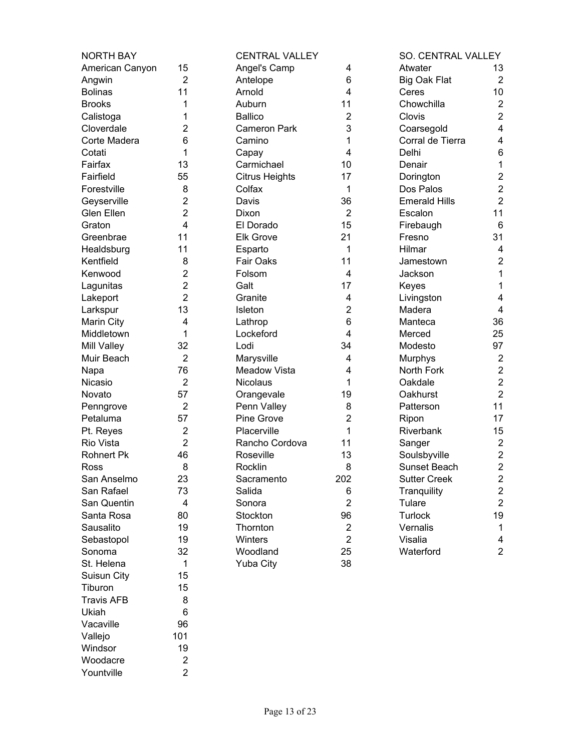| <b>NORTH BAY</b>      |                | <b>CENTRAL VALLEY</b> |                | <b>SO. CENTRAL VALLEY</b> |                                           |
|-----------------------|----------------|-----------------------|----------------|---------------------------|-------------------------------------------|
| American Canyon       | 15             | Angel's Camp          | 4              | Atwater<br>13             |                                           |
| Angwin                | $\overline{2}$ | Antelope              | 6              | <b>Big Oak Flat</b>       | $\overline{2}$                            |
| <b>Bolinas</b>        | 11             | Arnold                | 4              | 10<br>Ceres               |                                           |
| <b>Brooks</b>         | 1              | Auburn                | 11             | Chowchilla                | $\boldsymbol{2}$                          |
| Calistoga             | 1              | <b>Ballico</b>        | 2              | Clovis                    | $\overline{2}$                            |
| Cloverdale            | 2              | <b>Cameron Park</b>   | 3              | Coarsegold                | $\overline{\mathbf{4}}$                   |
| Corte Madera          | 6              | Camino                | 1              | Corral de Tierra          | 4                                         |
| Cotati                | 1              | Capay                 | 4              | Delhi                     | 6                                         |
| Fairfax               | 13             | Carmichael            | 10             | Denair                    | $\mathbf{1}$                              |
| Fairfield             | 55             | <b>Citrus Heights</b> | 17             | Dorington                 | $\overline{c}$                            |
| Forestville           | 8              | Colfax                | 1              | Dos Palos                 | $\overline{2}$                            |
| Geyserville           | $\overline{2}$ | Davis                 | 36             | <b>Emerald Hills</b>      | $\overline{2}$                            |
| Glen Ellen            | 2              | Dixon                 | $\overline{2}$ | 11<br>Escalon             |                                           |
| Graton                | 4              | El Dorado             | 15             | Firebaugh                 | 6                                         |
| Greenbrae             | 11             | <b>Elk Grove</b>      | 21             | 31<br>Fresno              |                                           |
| Healdsburg            | 11             | Esparto               | 1              | Hilmar                    | 4                                         |
| Kentfield             | 8              | Fair Oaks             | 11             | Jamestown                 | $\overline{2}$                            |
| Kenwood               | $\overline{2}$ | Folsom                | 4              | Jackson                   | 1                                         |
| Lagunitas             | $\overline{2}$ | Galt                  | 17             | Keyes                     | 1                                         |
| Lakeport              | $\overline{2}$ | Granite               | 4              | Livingston                | 4                                         |
| Larkspur              | 13             | Isleton               | $\overline{2}$ | Madera                    | 4                                         |
| Marin City            | 4              | Lathrop               | 6              | 36<br>Manteca             |                                           |
| Middletown            | 1              | Lockeford             | 4              | 25<br>Merced              |                                           |
| Mill Valley           | 32             | Lodi                  | 34             | 97<br>Modesto             |                                           |
| Muir Beach            | $\overline{2}$ | Marysville            | 4              | Murphys                   | $\overline{2}$                            |
| Napa                  | 76             | <b>Meadow Vista</b>   | 4              | North Fork                | $\overline{c}$                            |
| Nicasio               | $\overline{2}$ | <b>Nicolaus</b>       | 1              | Oakdale                   | $\overline{2}$                            |
| Novato                | 57             | Orangevale            | 19             | Oakhurst                  | $\overline{2}$                            |
|                       | $\overline{2}$ | Penn Valley           | 8              | 11<br>Patterson           |                                           |
| Penngrove<br>Petaluma | 57             | Pine Grove            | 2              | 17                        |                                           |
| Pt. Reyes             | $\overline{2}$ | Placerville           | 1              | Ripon<br>Riverbank<br>15  |                                           |
| Rio Vista             | $\overline{2}$ | Rancho Cordova        | 11             |                           | $\boldsymbol{2}$                          |
|                       | 46             | Roseville             | 13             | Sanger                    | $\overline{c}$                            |
| <b>Rohnert Pk</b>     |                |                       |                | Soulsbyville              | $\overline{2}$                            |
| Ross                  | 8              | Rocklin               | 8              | Sunset Beach              |                                           |
| San Anselmo           | 23             | Sacramento            | 202            | <b>Sutter Creek</b>       | $\overline{\mathbf{c}}$                   |
| San Rafael            | 73             | Salida                | 6              | Tranquility               | $\overline{\mathbf{c}}$<br>$\overline{2}$ |
| San Quentin           | 4              | Sonora                | $\overline{2}$ | Tulare                    |                                           |
| Santa Rosa            | 80             | Stockton              | 96             | <b>Turlock</b><br>19      |                                           |
| Sausalito             | 19             | Thornton              | $\overline{2}$ | Vernalis                  | 1                                         |
| Sebastopol            | 19             | Winters               | $\overline{2}$ | Visalia                   | 4                                         |
| Sonoma                | 32             | Woodland              | 25             | Waterford                 | $\overline{2}$                            |
| St. Helena            | 1              | <b>Yuba City</b>      | 38             |                           |                                           |
| Suisun City           | 15             |                       |                |                           |                                           |
| Tiburon               | 15             |                       |                |                           |                                           |
| <b>Travis AFB</b>     | 8              |                       |                |                           |                                           |
| Ukiah                 | 6              |                       |                |                           |                                           |
| Vacaville             | 96             |                       |                |                           |                                           |
| Vallejo               | 101            |                       |                |                           |                                           |
| Windsor               | 19             |                       |                |                           |                                           |
| Woodacre              | $\overline{2}$ |                       |                |                           |                                           |

Yountville 2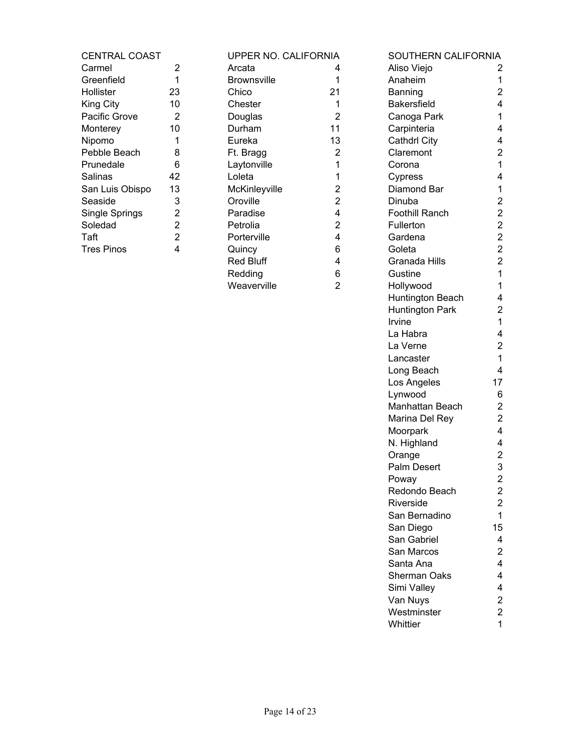| 2              |
|----------------|
| 1              |
| 23             |
| 10             |
| 2              |
| 10             |
| 1              |
| 8              |
| 6              |
| 42             |
| 13             |
| 3              |
| $\overline{2}$ |
| $\overline{2}$ |
| $\overline{2}$ |
| 4              |
|                |

| UPPER NO. CALIFORNIA |                |
|----------------------|----------------|
| Arcata               | 4              |
| Brownsville          | 1              |
| Chico                | 21             |
| Chester              | 1              |
| Douglas              | 2              |
| Durham               | 11             |
| Eureka               | 13             |
| Ft. Bragg            | 2              |
| Laytonville          | 1              |
| Loleta               | 1              |
| McKinleyville        | 2              |
| Oroville             | $\overline{2}$ |
| Paradise             | 4              |
| Petrolia             | $\overline{2}$ |
| Porterville          | 4              |
| Quincy               | 6              |
| Red Bluff            | 4              |
| Redding              | 6              |
| Weaverville          | 2              |
|                      |                |

| <b>CENTRAL COAST</b> |                | UPPER NO. CALIFORNIA |                | SOUTHERN CALIFORNIA    |                         |
|----------------------|----------------|----------------------|----------------|------------------------|-------------------------|
| Carmel               | $\overline{2}$ | Arcata               | 4              | Aliso Viejo            | 2                       |
| Greenfield           | 1              | <b>Brownsville</b>   | 1              | Anaheim                | 1                       |
| Hollister            | 23             | Chico                | 21             | Banning                | $\overline{2}$          |
| King City            | 10             | Chester              | 1              | <b>Bakersfield</b>     | 4                       |
| Pacific Grove        | $\overline{2}$ | Douglas              | $\overline{2}$ | Canoga Park            | 1                       |
| Monterey             | 10             | Durham               | 11             | Carpinteria            | 4                       |
| Nipomo               | 1              | Eureka               | 13             | <b>Cathdrl City</b>    | 4                       |
| Pebble Beach         | 8              | Ft. Bragg            | 2              | Claremont              | $\overline{c}$          |
| Prunedale            | 6              | Laytonville          | 1              | Corona                 | $\mathbf{1}$            |
| Salinas              | 42             | Loleta               | 1              | Cypress                | 4                       |
| San Luis Obispo      | 13             | McKinleyville        | 2              | Diamond Bar            | $\mathbf 1$             |
| Seaside              | 3              | Oroville             | 2              | Dinuba                 | $\overline{2}$          |
| Single Springs       | 2              | Paradise             | 4              | <b>Foothill Ranch</b>  | $\overline{c}$          |
| Soledad              | 2              | Petrolia             | 2              | Fullerton              | $\overline{\mathbf{c}}$ |
| Taft                 | $\overline{2}$ | Porterville          | 4              | Gardena                | $\boldsymbol{2}$        |
| <b>Tres Pinos</b>    | 4              | Quincy               | 6              | Goleta                 | $\overline{2}$          |
|                      |                | <b>Red Bluff</b>     | 4              | Granada Hills          | $\overline{2}$          |
|                      |                | Redding              | 6              | Gustine                | $\mathbf{1}$            |
|                      |                | Weaverville          | $\overline{2}$ | Hollywood              | $\mathbf{1}$            |
|                      |                |                      |                | Huntington Beach       | 4                       |
|                      |                |                      |                | <b>Huntington Park</b> | $\overline{c}$          |
|                      |                |                      |                | Irvine                 | 1                       |
|                      |                |                      |                | La Habra               | 4                       |
|                      |                |                      |                | La Verne               | $\mathbf{2}$            |
|                      |                |                      |                | Lancaster              | $\mathbf{1}$            |
|                      |                |                      |                | Long Beach             | 4                       |
|                      |                |                      |                | Los Angeles            | 17                      |
|                      |                |                      |                | Lynwood                | 6                       |
|                      |                |                      |                | Manhattan Beach        | $\overline{c}$          |
|                      |                |                      |                | Marina Del Rey         | $\mathbf{2}$            |
|                      |                |                      |                | Moorpark               | 4                       |
|                      |                |                      |                | N. Highland            | 4                       |
|                      |                |                      |                | Orange                 | $\overline{2}$          |
|                      |                |                      |                | <b>Palm Desert</b>     | 3                       |
|                      |                |                      |                | Poway                  | 2                       |
|                      |                |                      |                | Redondo Beach          | $\overline{\mathbf{c}}$ |
|                      |                |                      |                | Riverside              | $\overline{2}$          |
|                      |                |                      |                | San Bernadino          | 1                       |
|                      |                |                      |                | San Diego              | 15                      |
|                      |                |                      |                | San Gabriel            | 4                       |
|                      |                |                      |                | San Marcos             | $\overline{2}$          |
|                      |                |                      |                | Santa Ana              | 4                       |
|                      |                |                      |                | <b>Sherman Oaks</b>    | 4                       |
|                      |                |                      |                | Simi Valley            | 4                       |
|                      |                |                      |                | Van Nuys               | $\overline{\mathbf{c}}$ |
|                      |                |                      |                | Westminster            | $\overline{\mathbf{c}}$ |
|                      |                |                      |                | Whittier               | $\mathbf{1}$            |
|                      |                |                      |                |                        |                         |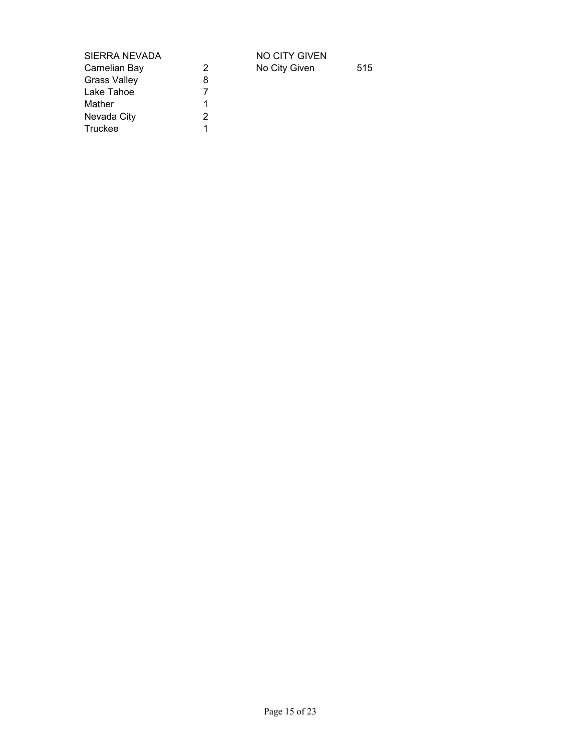| SIERRA NEVADA |   |
|---------------|---|
| Carnelian Bay | 2 |
| Grass Valley  | 8 |
| Lake Tahoe    | 7 |
| Mather        | 1 |
| Nevada City   | 2 |
| Truckee       |   |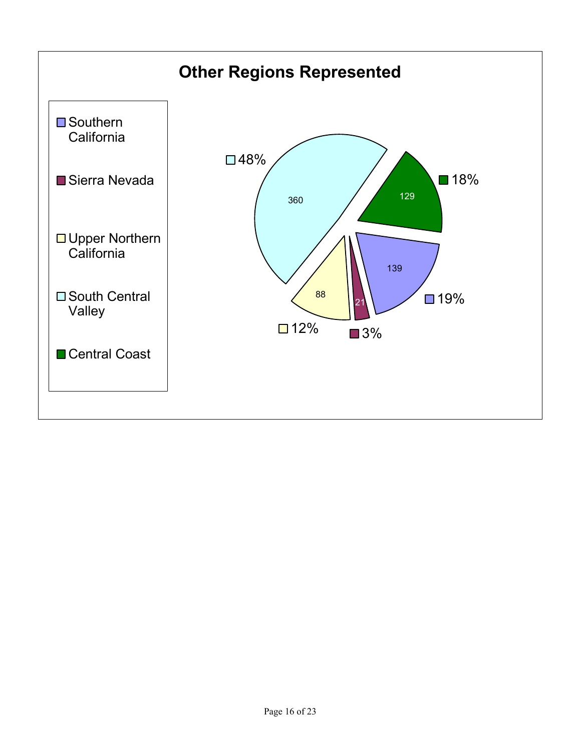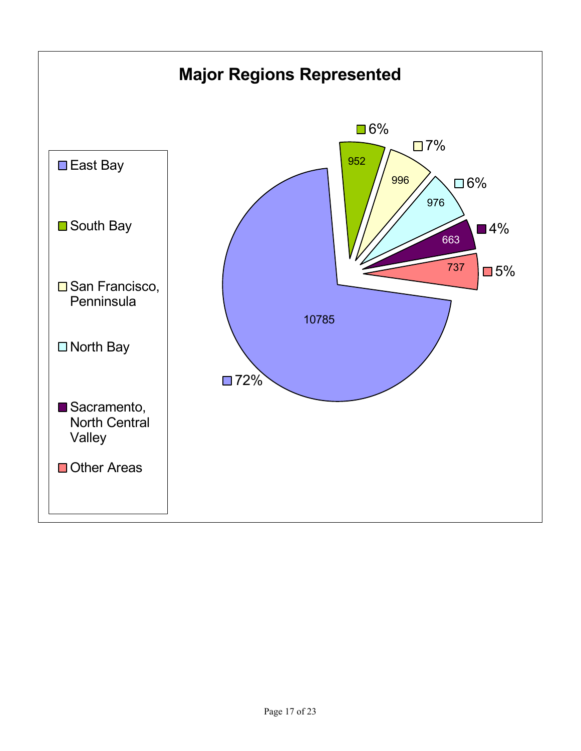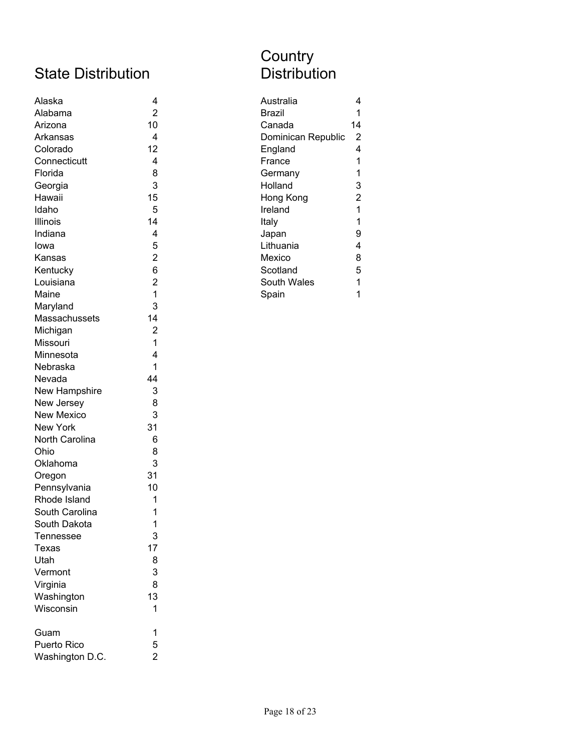# State Distribution

| Alaska            | 4              | Australia<br>4                       |
|-------------------|----------------|--------------------------------------|
| Alabama           | $\overline{2}$ | <b>Brazil</b><br>1                   |
| Arizona           | 10             | Canada<br>14                         |
| Arkansas          | 4              | $\overline{2}$<br>Dominican Republic |
| Colorado          | 12             | 4<br>England                         |
| Connecticutt      | 4              | France<br>1                          |
| Florida           | 8              | 1<br>Germany                         |
| Georgia           | 3              | Holland<br>3                         |
| Hawaii            | 15             | $\overline{c}$<br>Hong Kong          |
| Idaho             | 5              | 1<br>Ireland                         |
| Illinois          | 14             | Italy<br>1                           |
| Indiana           | 4              | 9<br>Japan                           |
| lowa              | 5              | 4<br>Lithuania                       |
| Kansas            | $\overline{2}$ | Mexico<br>8                          |
| Kentucky          | 6              | 5<br>Scotland                        |
| Louisiana         | $\overline{2}$ | 1<br>South Wales                     |
| Maine             | 1              | $\mathbf{1}$<br>Spain                |
| Maryland          | 3              |                                      |
| Massachussets     | 14             |                                      |
| Michigan          | $\overline{2}$ |                                      |
| Missouri          | 1              |                                      |
| Minnesota         | 4              |                                      |
| Nebraska          | 1              |                                      |
| Nevada            | 44             |                                      |
| New Hampshire     | 3              |                                      |
| New Jersey        | 8              |                                      |
| <b>New Mexico</b> | 3              |                                      |
| New York          | 31             |                                      |
| North Carolina    | 6              |                                      |
| Ohio              | 8              |                                      |
| Oklahoma          | 3              |                                      |
| Oregon            | 31             |                                      |
| Pennsylvania      | 10             |                                      |
| Rhode Island      | 1              |                                      |
| South Carolina    | 1              |                                      |
| South Dakota      | 1              |                                      |
| Tennessee         | 3              |                                      |
| Texas             | 17             |                                      |
| Utah              | 8              |                                      |
| Vermont           | 3              |                                      |
| Virginia          | 8              |                                      |
| Washington        | 13             |                                      |
| Wisconsin         | 1              |                                      |
| Guam              | 1              |                                      |
| Puerto Rico       | 5              |                                      |
| Washington D.C.   | $\overline{2}$ |                                      |

# **Country Distribution**

| 4              |
|----------------|
|                |
| 14             |
| 2              |
| 4              |
| 1              |
| 1              |
| 3              |
| $\overline{2}$ |
| 1              |
| 1              |
| 9              |
| 4              |
| 8              |
| 5              |
| 1              |
|                |
|                |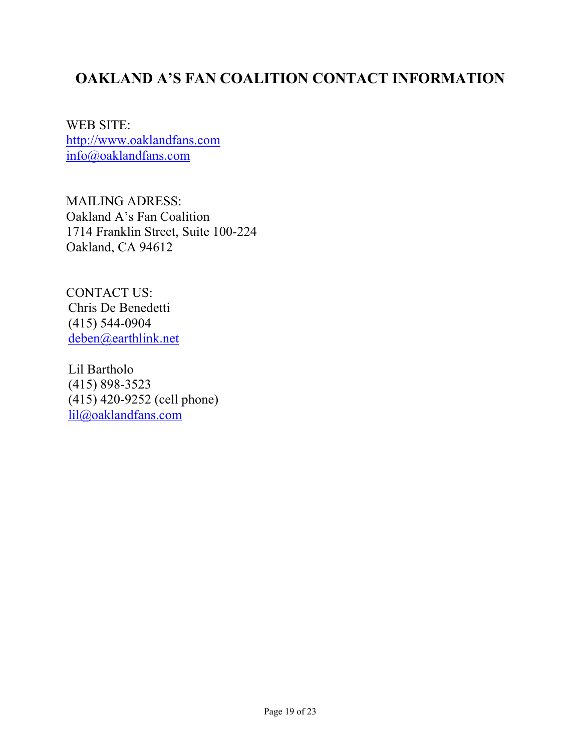# **OAKLAND A'S FAN COALITION CONTACT INFORMATION**

WEB SITE: http://www.oaklandfans.com info@oaklandfans.com

MAILING ADRESS: Oakland A's Fan Coalition 1714 Franklin Street, Suite 100-224 Oakland, CA 94612

CONTACT US: Chris De Benedetti (415) 544-0904 deben@earthlink.net

 Lil Bartholo (415) 898-3523 (415) 420-9252 (cell phone) lil@oaklandfans.com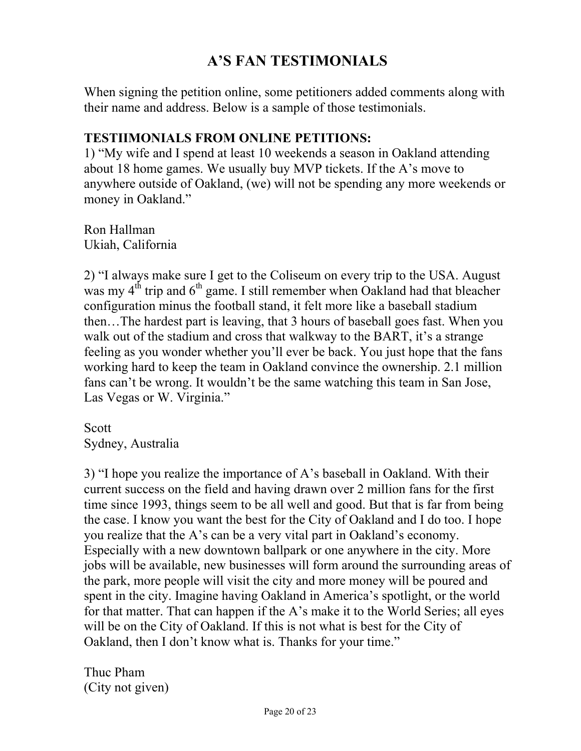# **AíS FAN TESTIMONIALS**

When signing the petition online, some petitioners added comments along with their name and address. Below is a sample of those testimonials.

#### **TESTIIMONIALS FROM ONLINE PETITIONS:**

1) "My wife and I spend at least 10 weekends a season in Oakland attending about 18 home games. We usually buy MVP tickets. If the A's move to anywhere outside of Oakland, (we) will not be spending any more weekends or money in Oakland."

Ron Hallman Ukiah, California

2) "I always make sure I get to the Coliseum on every trip to the USA. August was my  $4<sup>th</sup>$  trip and  $6<sup>th</sup>$  game. I still remember when Oakland had that bleacher configuration minus the football stand, it felt more like a baseball stadium then...The hardest part is leaving, that 3 hours of baseball goes fast. When you walk out of the stadium and cross that walkway to the BART, it's a strange feeling as you wonder whether you'll ever be back. You just hope that the fans working hard to keep the team in Oakland convince the ownership. 2.1 million fans can't be wrong. It wouldn't be the same watching this team in San Jose, Las Vegas or W. Virginia."

Scott Sydney, Australia

3) "I hope you realize the importance of A's baseball in Oakland. With their current success on the field and having drawn over 2 million fans for the first time since 1993, things seem to be all well and good. But that is far from being the case. I know you want the best for the City of Oakland and I do too. I hope you realize that the A's can be a very vital part in Oakland's economy. Especially with a new downtown ballpark or one anywhere in the city. More jobs will be available, new businesses will form around the surrounding areas of the park, more people will visit the city and more money will be poured and spent in the city. Imagine having Oakland in America's spotlight, or the world for that matter. That can happen if the A's make it to the World Series; all eyes will be on the City of Oakland. If this is not what is best for the City of Oakland, then I don't know what is. Thanks for your time."

Thuc Pham (City not given)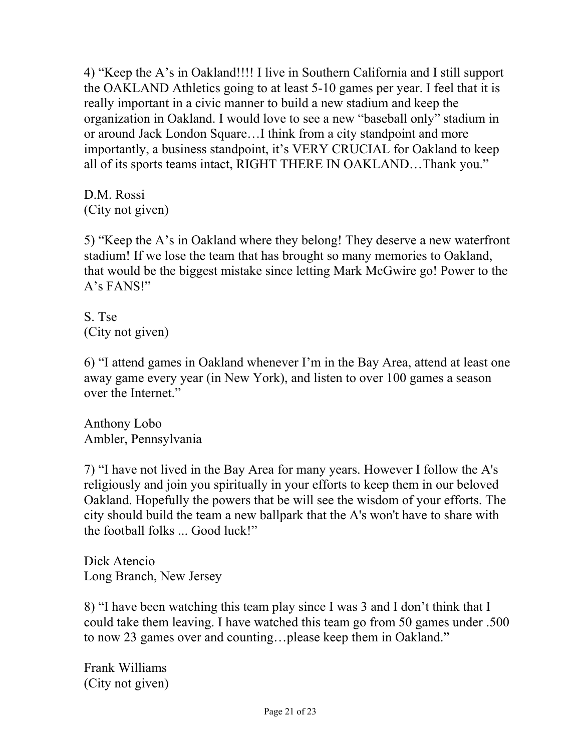4) "Keep the A's in Oakland!!!! I live in Southern California and I still support the OAKLAND Athletics going to at least 5-10 games per year. I feel that it is really important in a civic manner to build a new stadium and keep the organization in Oakland. I would love to see a new "baseball only" stadium in or around Jack London Square...I think from a city standpoint and more importantly, a business standpoint, it's VERY CRUCIAL for Oakland to keep all of its sports teams intact, RIGHT THERE IN OAKLAND...Thank you.<sup>"</sup>

D.M. Rossi (City not given)

5) "Keep the A's in Oakland where they belong! They deserve a new waterfront stadium! If we lose the team that has brought so many memories to Oakland, that would be the biggest mistake since letting Mark McGwire go! Power to the A's FANS!"

S. Tse (City not given)

6) "I attend games in Oakland whenever I'm in the Bay Area, attend at least one away game every year (in New York), and listen to over 100 games a season over the Internet."

Anthony Lobo Ambler, Pennsylvania

7) "I have not lived in the Bay Area for many years. However I follow the A's religiously and join you spiritually in your efforts to keep them in our beloved Oakland. Hopefully the powers that be will see the wisdom of your efforts. The city should build the team a new ballpark that the A's won't have to share with the football folks ... Good luck!"

Dick Atencio Long Branch, New Jersey

8) "I have been watching this team play since I was 3 and I don't think that I could take them leaving. I have watched this team go from 50 games under .500 to now 23 games over and counting...please keep them in Oakland."

Frank Williams (City not given)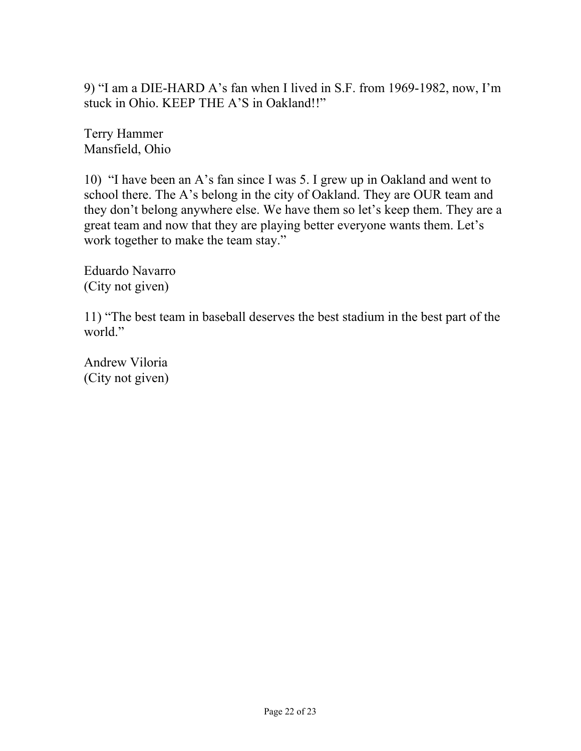9) "I am a DIE-HARD A's fan when I lived in S.F. from 1969-1982, now, I'm stuck in Ohio. KEEP THE A'S in Oakland!!"

Terry Hammer Mansfield, Ohio

10) "I have been an A's fan since I was 5. I grew up in Oakland and went to school there. The A's belong in the city of Oakland. They are OUR team and they don't belong anywhere else. We have them so let's keep them. They are a great team and now that they are playing better everyone wants them. Let's work together to make the team stay."

Eduardo Navarro (City not given)

11) "The best team in baseball deserves the best stadium in the best part of the world."

Andrew Viloria (City not given)